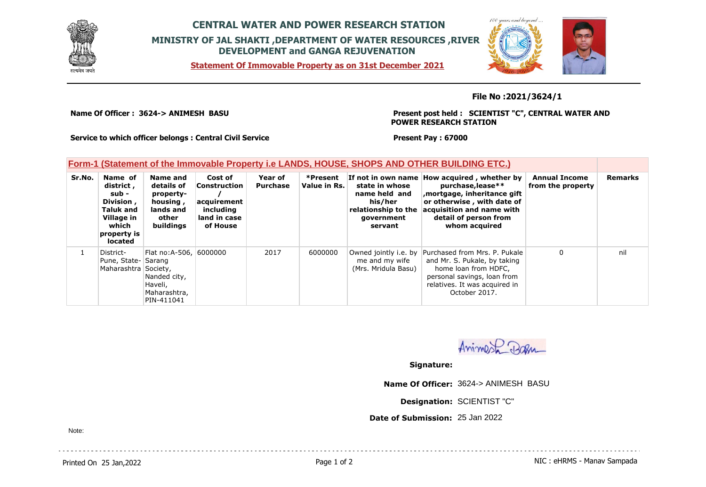

## **CENTRAL WATER AND POWER RESEARCH STATION MINISTRY OF JAL SHAKTI ,DEPARTMENT OF WATER RESOURCES ,RIVER DEVELOPMENT and GANGA REJUVENATION**

**Statement Of Immovable Property as on 31st December 2021**



**File No :2021/3624/1**

**Name Of Officer : 3624-> ANIMESH BASU** 

**Present post held : SCIENTIST "C", CENTRAL WATER AND POWER RESEARCH STATION**

**Service to which officer belongs : Central Civil Service**

**Present Pay : 67000**

## **Form-1 (Statement of the Immovable Property i.e LANDS, HOUSE, SHOPS AND OTHER BUILDING ETC.)**

| Sr.No. | Name of<br>district,<br>sub -<br>Division,<br><b>Taluk and</b><br>Village in<br>which<br>property is<br>located | Name and<br>details of<br>property-<br>housing,<br>lands and<br>other<br>buildings | Cost of<br>Construction<br>acquirement<br>including<br>land in case<br>of House | Year of<br><b>Purchase</b> | *Present<br>Value in Rs. | state in whose<br>name held and<br>his/her<br>relationship to the<br>government<br>servant | If not in own name How acquired, whether by<br>purchase, lease**<br>, mortgage, inheritance gift<br>or otherwise, with date of<br>acquisition and name with<br>detail of person from<br>whom acquired | <b>Annual Income</b><br>from the property | <b>Remarks</b> |
|--------|-----------------------------------------------------------------------------------------------------------------|------------------------------------------------------------------------------------|---------------------------------------------------------------------------------|----------------------------|--------------------------|--------------------------------------------------------------------------------------------|-------------------------------------------------------------------------------------------------------------------------------------------------------------------------------------------------------|-------------------------------------------|----------------|
|        | District-<br>Pune, State- Sarang<br>Maharashtra Society,                                                        | Flat no: A-506, 6000000<br>Nanded city,<br>Haveli,<br>Maharashtra,<br>PIN-411041   |                                                                                 | 2017                       | 6000000                  | Owned jointly i.e. by<br>me and my wife<br>(Mrs. Mridula Basu)                             | Purchased from Mrs. P. Pukale<br>and Mr. S. Pukale, by taking<br>home loan from HDFC,<br>personal savings, loan from<br>relatives. It was acquired in<br>October 2017.                                | 0                                         | nil            |

Animal Da

**Signature:**

**Name Of Officer:** 3624-> ANIMESH BASU

**Designation:** SCIENTIST "C"

**Date of Submission:** 25 Jan 2022

Note: